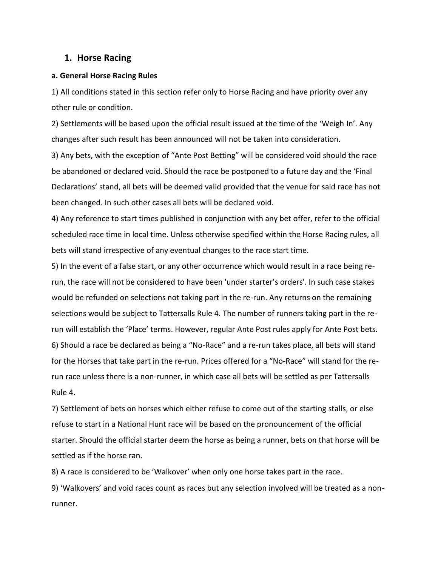## **1. Horse Racing**

#### **a. General Horse Racing Rules**

1) All conditions stated in this section refer only to Horse Racing and have priority over any other rule or condition.

2) Settlements will be based upon the official result issued at the time of the 'Weigh In'. Any changes after such result has been announced will not be taken into consideration.

3) Any bets, with the exception of "Ante Post Betting" will be considered void should the race be abandoned or declared void. Should the race be postponed to a future day and the 'Final Declarations' stand, all bets will be deemed valid provided that the venue for said race has not been changed. In such other cases all bets will be declared void.

4) Any reference to start times published in conjunction with any bet offer, refer to the official scheduled race time in local time. Unless otherwise specified within the Horse Racing rules, all bets will stand irrespective of any eventual changes to the race start time.

5) In the event of a false start, or any other occurrence which would result in a race being rerun, the race will not be considered to have been 'under starter's orders'. In such case stakes would be refunded on selections not taking part in the re-run. Any returns on the remaining selections would be subject to Tattersalls Rule 4. The number of runners taking part in the rerun will establish the 'Place' terms. However, regular Ante Post rules apply for Ante Post bets. 6) Should a race be declared as being a "No-Race" and a re-run takes place, all bets will stand for the Horses that take part in the re-run. Prices offered for a "No-Race" will stand for the rerun race unless there is a non-runner, in which case all bets will be settled as per Tattersalls Rule 4.

7) Settlement of bets on horses which either refuse to come out of the starting stalls, or else refuse to start in a National Hunt race will be based on the pronouncement of the official starter. Should the official starter deem the horse as being a runner, bets on that horse will be settled as if the horse ran.

8) A race is considered to be 'Walkover' when only one horse takes part in the race. 9) 'Walkovers' and void races count as races but any selection involved will be treated as a nonrunner.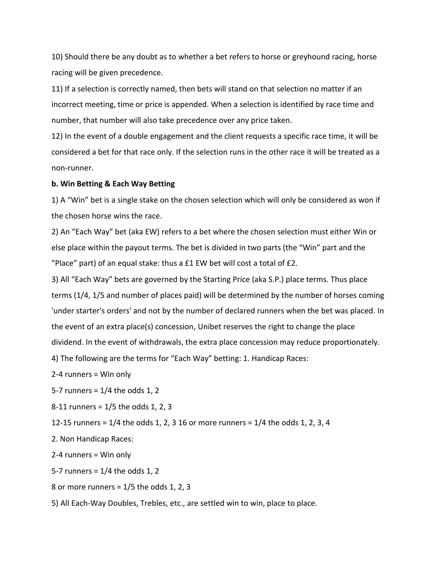10) Should there be any doubt as to whether a bet refers to horse or greyhound racing, horse racing will be given precedence.

11) If a selection is correctly named, then bets will stand on that selection no matter if an incorrect meeting, time or price is appended. When a selection is identified by race time and number, that number will also take precedence over any price taken.

12) In the event of a double engagement and the client requests a specific race time, it will be considered a bet for that race only. If the selection runs in the other race it will be treated as a non-runner.

#### **b. Win Betting & Each Way Betting**

1) A "Win" bet is a single stake on the chosen selection which will only be considered as won if the chosen horse wins the race.

2) An "Each Way" bet (aka EW) refers to a bet where the chosen selection must either Win or else place within the payout terms. The bet is divided in two parts (the "Win" part and the "Place" part) of an equal stake: thus a £1 EW bet will cost a total of £2.

3) All "Each Way" bets are governed by the Starting Price (aka S.P.) place terms. Thus place terms (1/4, 1/5 and number of places paid) will be determined by the number of horses coming 'under starter's orders' and not by the number of declared runners when the bet was placed. In the event of an extra place(s) concession, Unibet reserves the right to change the place dividend. In the event of withdrawals, the extra place concession may reduce proportionately.

4) The following are the terms for "Each Way" betting: 1. Handicap Races:

2-4 runners = Win only

5-7 runners = 1/4 the odds 1, 2

8-11 runners = 1/5 the odds 1, 2, 3

12-15 runners = 1/4 the odds 1, 2, 3 16 or more runners = 1/4 the odds 1, 2, 3, 4

2. Non Handicap Races:

2-4 runners = Win only

5-7 runners =  $1/4$  the odds 1, 2

8 or more runners =  $1/5$  the odds 1, 2, 3

5) All Each-Way Doubles, Trebles, etc., are settled win to win, place to place.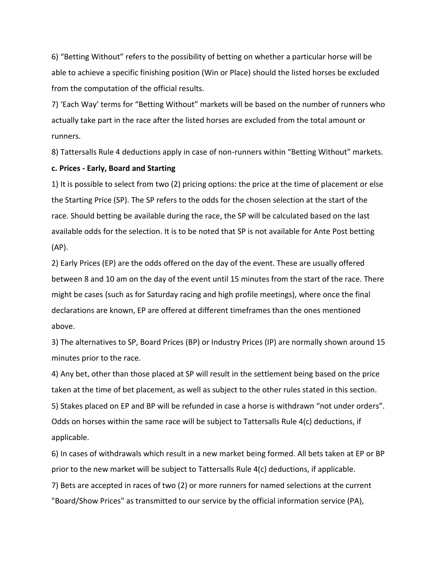6) "Betting Without" refers to the possibility of betting on whether a particular horse will be able to achieve a specific finishing position (Win or Place) should the listed horses be excluded from the computation of the official results.

7) 'Each Way' terms for "Betting Without" markets will be based on the number of runners who actually take part in the race after the listed horses are excluded from the total amount or runners.

8) Tattersalls Rule 4 deductions apply in case of non-runners within "Betting Without" markets.

#### **c. Prices - Early, Board and Starting**

1) It is possible to select from two (2) pricing options: the price at the time of placement or else the Starting Price (SP). The SP refers to the odds for the chosen selection at the start of the race. Should betting be available during the race, the SP will be calculated based on the last available odds for the selection. It is to be noted that SP is not available for Ante Post betting (AP).

2) Early Prices (EP) are the odds offered on the day of the event. These are usually offered between 8 and 10 am on the day of the event until 15 minutes from the start of the race. There might be cases (such as for Saturday racing and high profile meetings), where once the final declarations are known, EP are offered at different timeframes than the ones mentioned above.

3) The alternatives to SP, Board Prices (BP) or Industry Prices (IP) are normally shown around 15 minutes prior to the race.

4) Any bet, other than those placed at SP will result in the settlement being based on the price taken at the time of bet placement, as well as subject to the other rules stated in this section. 5) Stakes placed on EP and BP will be refunded in case a horse is withdrawn "not under orders". Odds on horses within the same race will be subject to Tattersalls Rule 4(c) deductions, if applicable.

6) In cases of withdrawals which result in a new market being formed. All bets taken at EP or BP prior to the new market will be subject to Tattersalls Rule 4(c) deductions, if applicable. 7) Bets are accepted in races of two (2) or more runners for named selections at the current "Board/Show Prices" as transmitted to our service by the official information service (PA),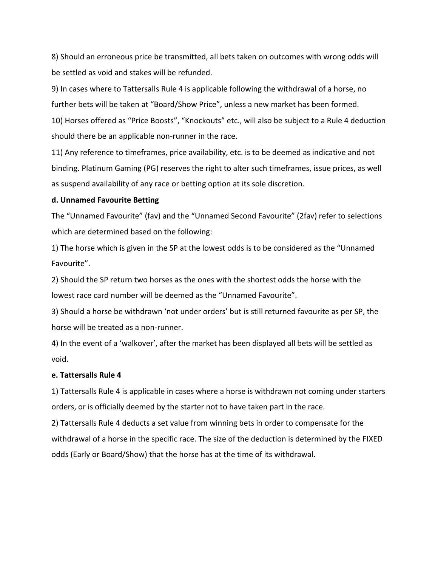8) Should an erroneous price be transmitted, all bets taken on outcomes with wrong odds will be settled as void and stakes will be refunded.

9) In cases where to Tattersalls Rule 4 is applicable following the withdrawal of a horse, no further bets will be taken at "Board/Show Price", unless a new market has been formed.

10) Horses offered as "Price Boosts", "Knockouts" etc., will also be subject to a Rule 4 deduction should there be an applicable non-runner in the race.

11) Any reference to timeframes, price availability, etc. is to be deemed as indicative and not binding. Platinum Gaming (PG) reserves the right to alter such timeframes, issue prices, as well as suspend availability of any race or betting option at its sole discretion.

## **d. Unnamed Favourite Betting**

The "Unnamed Favourite" (fav) and the "Unnamed Second Favourite" (2fav) refer to selections which are determined based on the following:

1) The horse which is given in the SP at the lowest odds is to be considered as the "Unnamed Favourite".

2) Should the SP return two horses as the ones with the shortest odds the horse with the lowest race card number will be deemed as the "Unnamed Favourite".

3) Should a horse be withdrawn 'not under orders' but is still returned favourite as per SP, the horse will be treated as a non-runner.

4) In the event of a 'walkover', after the market has been displayed all bets will be settled as void.

# **e. Tattersalls Rule 4**

1) Tattersalls Rule 4 is applicable in cases where a horse is withdrawn not coming under starters orders, or is officially deemed by the starter not to have taken part in the race.

2) Tattersalls Rule 4 deducts a set value from winning bets in order to compensate for the withdrawal of a horse in the specific race. The size of the deduction is determined by the FIXED odds (Early or Board/Show) that the horse has at the time of its withdrawal.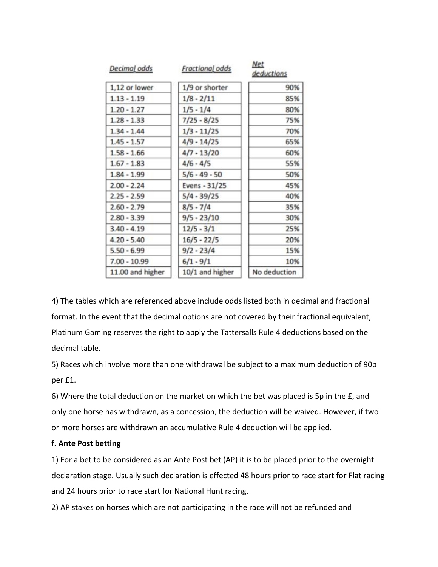| Decimal odds     | Fractional odds | <b>Net</b><br>deductions |
|------------------|-----------------|--------------------------|
| 1,12 or lower    | 1/9 or shorter  | 90%                      |
| $1.13 - 1.19$    | $1/8 - 2/11$    | 85%                      |
| $1.20 - 1.27$    | $1/5 - 1/4$     | 80%                      |
| $1.28 - 1.33$    | $7/25 - 8/25$   | 75%                      |
| $1.34 - 1.44$    | $1/3 - 11/25$   | 70%                      |
| $1.45 - 1.57$    | $4/9 - 14/25$   | 65%                      |
| $1.58 - 1.66$    | $4/7 - 13/20$   | 60%                      |
| $1.67 - 1.83$    | $4/6 - 4/5$     | 55%                      |
| $1.84 - 1.99$    | $5/6 - 49 - 50$ | 50%                      |
| $2.00 - 2.24$    | Evens - 31/25   | 45%                      |
| $2.25 - 2.59$    | $5/4 - 39/25$   | 40%                      |
| $2.60 - 2.79$    | $8/5 - 7/4$     | 35%                      |
| $2.80 - 3.39$    | $9/5 - 23/10$   | 30%                      |
| $3.40 - 4.19$    | $12/5 - 3/1$    | 25%                      |
| $4.20 - 5.40$    | $16/5 - 22/5$   | 20%                      |
| $5.50 - 6.99$    | $9/2 - 23/4$    | 15%                      |
| $7.00 - 10.99$   | $6/1 - 9/1$     | 10%                      |
| 11.00 and higher | 10/1 and higher | No deduction             |

4) The tables which are referenced above include odds listed both in decimal and fractional format. In the event that the decimal options are not covered by their fractional equivalent, Platinum Gaming reserves the right to apply the Tattersalls Rule 4 deductions based on the decimal table.

5) Races which involve more than one withdrawal be subject to a maximum deduction of 90p per £1.

6) Where the total deduction on the market on which the bet was placed is 5p in the £, and only one horse has withdrawn, as a concession, the deduction will be waived. However, if two or more horses are withdrawn an accumulative Rule 4 deduction will be applied.

## **f. Ante Post betting**

1) For a bet to be considered as an Ante Post bet (AP) it is to be placed prior to the overnight declaration stage. Usually such declaration is effected 48 hours prior to race start for Flat racing and 24 hours prior to race start for National Hunt racing.

2) AP stakes on horses which are not participating in the race will not be refunded and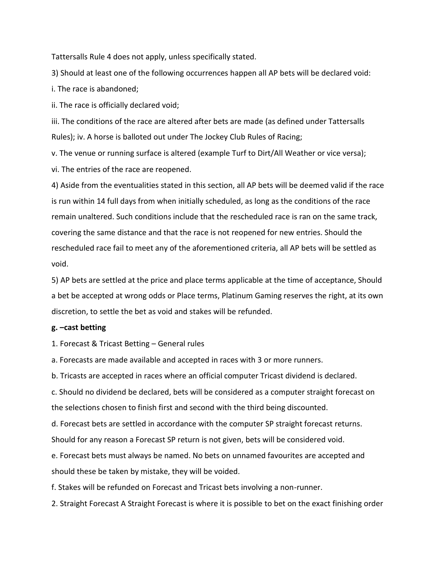Tattersalls Rule 4 does not apply, unless specifically stated.

3) Should at least one of the following occurrences happen all AP bets will be declared void:

i. The race is abandoned;

ii. The race is officially declared void;

iii. The conditions of the race are altered after bets are made (as defined under Tattersalls Rules); iv. A horse is balloted out under The Jockey Club Rules of Racing;

v. The venue or running surface is altered (example Turf to Dirt/All Weather or vice versa);

vi. The entries of the race are reopened.

4) Aside from the eventualities stated in this section, all AP bets will be deemed valid if the race is run within 14 full days from when initially scheduled, as long as the conditions of the race remain unaltered. Such conditions include that the rescheduled race is ran on the same track, covering the same distance and that the race is not reopened for new entries. Should the rescheduled race fail to meet any of the aforementioned criteria, all AP bets will be settled as void.

5) AP bets are settled at the price and place terms applicable at the time of acceptance, Should a bet be accepted at wrong odds or Place terms, Platinum Gaming reserves the right, at its own discretion, to settle the bet as void and stakes will be refunded.

#### **g. –cast betting**

1. Forecast & Tricast Betting – General rules

a. Forecasts are made available and accepted in races with 3 or more runners.

b. Tricasts are accepted in races where an official computer Tricast dividend is declared.

c. Should no dividend be declared, bets will be considered as a computer straight forecast on the selections chosen to finish first and second with the third being discounted.

d. Forecast bets are settled in accordance with the computer SP straight forecast returns. Should for any reason a Forecast SP return is not given, bets will be considered void.

e. Forecast bets must always be named. No bets on unnamed favourites are accepted and should these be taken by mistake, they will be voided.

f. Stakes will be refunded on Forecast and Tricast bets involving a non-runner.

2. Straight Forecast A Straight Forecast is where it is possible to bet on the exact finishing order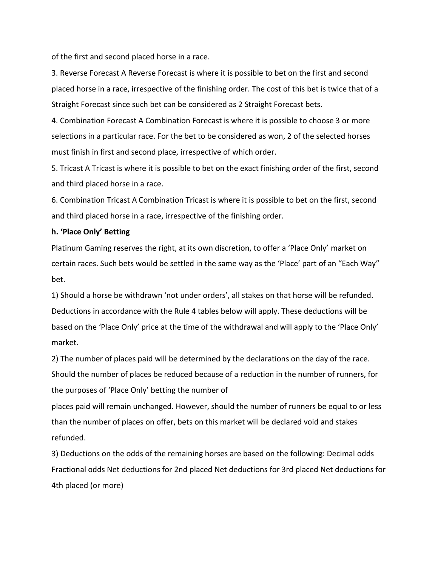of the first and second placed horse in a race.

3. Reverse Forecast A Reverse Forecast is where it is possible to bet on the first and second placed horse in a race, irrespective of the finishing order. The cost of this bet is twice that of a Straight Forecast since such bet can be considered as 2 Straight Forecast bets.

4. Combination Forecast A Combination Forecast is where it is possible to choose 3 or more selections in a particular race. For the bet to be considered as won, 2 of the selected horses must finish in first and second place, irrespective of which order.

5. Tricast A Tricast is where it is possible to bet on the exact finishing order of the first, second and third placed horse in a race.

6. Combination Tricast A Combination Tricast is where it is possible to bet on the first, second and third placed horse in a race, irrespective of the finishing order.

### **h. 'Place Only' Betting**

Platinum Gaming reserves the right, at its own discretion, to offer a 'Place Only' market on certain races. Such bets would be settled in the same way as the 'Place' part of an "Each Way" bet.

1) Should a horse be withdrawn 'not under orders', all stakes on that horse will be refunded. Deductions in accordance with the Rule 4 tables below will apply. These deductions will be based on the 'Place Only' price at the time of the withdrawal and will apply to the 'Place Only' market.

2) The number of places paid will be determined by the declarations on the day of the race. Should the number of places be reduced because of a reduction in the number of runners, for the purposes of 'Place Only' betting the number of

places paid will remain unchanged. However, should the number of runners be equal to or less than the number of places on offer, bets on this market will be declared void and stakes refunded.

3) Deductions on the odds of the remaining horses are based on the following: Decimal odds Fractional odds Net deductions for 2nd placed Net deductions for 3rd placed Net deductions for 4th placed (or more)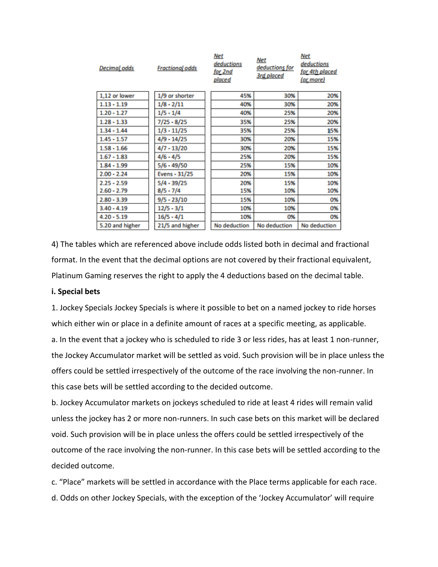| <b>Decimal</b> odds | <b>Fractional odds</b> | Net<br>deductions<br>for 2nd<br>placed | <u>Net</u><br>deductions for<br>3rd placed | Net<br>deductions<br>for 4th placed<br>(or more) |
|---------------------|------------------------|----------------------------------------|--------------------------------------------|--------------------------------------------------|
| 1,12 or lower       | 1/9 or shorter         | 45%                                    | 30%                                        | 20%                                              |
| $1.13 - 1.19$       | $1/8 - 2/11$           | 40%                                    | 30%                                        | 20%                                              |
| $1.20 - 1.27$       | $1/5 - 1/4$            | 40%                                    | 25%                                        | 20%                                              |
| $1.28 - 1.33$       | 7/25 - 8/25            | 35%                                    | 25%                                        | 20%                                              |
| $1.34 - 1.44$       | $1/3 - 11/25$          | 35%                                    | 25%                                        | 15%                                              |
| $1.45 - 1.57$       | 4/9 - 14/25            | 30%                                    | 20%                                        | 15%                                              |
| $1.58 - 1.66$       | 4/7 - 13/20            | 30%                                    | 20%                                        | 15%                                              |
| $1.67 - 1.83$       | $4/6 - 4/5$            | 25%                                    | 20%                                        | 15%                                              |
| $1.84 - 1.99$       | $5/6 - 49/50$          | 25%                                    | 15%                                        | 10%                                              |
| $2.00 - 2.24$       | Evens - 31/25          | 20%                                    | 15%                                        | 10%                                              |
| $2.25 - 2.59$       | $5/4 - 39/25$          | 20%                                    | 15%                                        | 10%                                              |
| $2.60 - 2.79$       | $8/5 - 7/4$            | 15%                                    | 10%                                        | 10%                                              |
| $2.80 - 3.39$       | $9/5 - 23/10$          | 15%                                    | 10%                                        | 0%                                               |
| $3.40 - 4.19$       | $12/5 - 3/1$           | 10%                                    | 10%                                        | 0%                                               |
| $4.20 - 5.19$       | $16/5 - 4/1$           | 10%                                    | 0%                                         | 0%                                               |
| 5.20 and higher     | 21/5 and higher        | No deduction                           | No deduction                               | No deduction                                     |

4) The tables which are referenced above include odds listed both in decimal and fractional format. In the event that the decimal options are not covered by their fractional equivalent, Platinum Gaming reserves the right to apply the 4 deductions based on the decimal table.

#### **i. Special bets**

1. Jockey Specials Jockey Specials is where it possible to bet on a named jockey to ride horses which either win or place in a definite amount of races at a specific meeting, as applicable. a. In the event that a jockey who is scheduled to ride 3 or less rides, has at least 1 non-runner, the Jockey Accumulator market will be settled as void. Such provision will be in place unless the offers could be settled irrespectively of the outcome of the race involving the non-runner. In this case bets will be settled according to the decided outcome.

b. Jockey Accumulator markets on jockeys scheduled to ride at least 4 rides will remain valid unless the jockey has 2 or more non-runners. In such case bets on this market will be declared void. Such provision will be in place unless the offers could be settled irrespectively of the outcome of the race involving the non-runner. In this case bets will be settled according to the decided outcome.

c. "Place" markets will be settled in accordance with the Place terms applicable for each race. d. Odds on other Jockey Specials, with the exception of the 'Jockey Accumulator' will require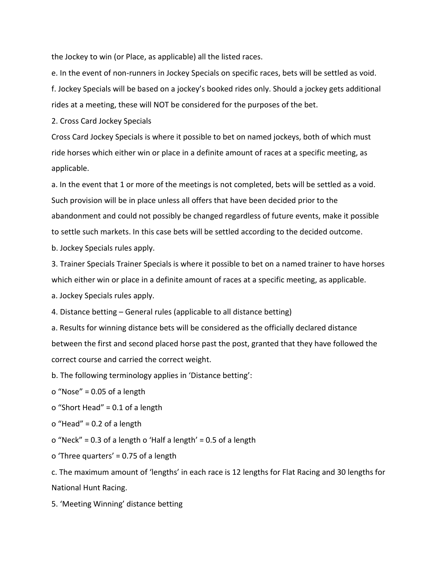the Jockey to win (or Place, as applicable) all the listed races.

e. In the event of non-runners in Jockey Specials on specific races, bets will be settled as void. f. Jockey Specials will be based on a jockey's booked rides only. Should a jockey gets additional

rides at a meeting, these will NOT be considered for the purposes of the bet.

2. Cross Card Jockey Specials

Cross Card Jockey Specials is where it possible to bet on named jockeys, both of which must ride horses which either win or place in a definite amount of races at a specific meeting, as applicable.

a. In the event that 1 or more of the meetings is not completed, bets will be settled as a void. Such provision will be in place unless all offers that have been decided prior to the abandonment and could not possibly be changed regardless of future events, make it possible to settle such markets. In this case bets will be settled according to the decided outcome.

b. Jockey Specials rules apply.

3. Trainer Specials Trainer Specials is where it possible to bet on a named trainer to have horses which either win or place in a definite amount of races at a specific meeting, as applicable.

a. Jockey Specials rules apply.

4. Distance betting – General rules (applicable to all distance betting)

a. Results for winning distance bets will be considered as the officially declared distance between the first and second placed horse past the post, granted that they have followed the correct course and carried the correct weight.

b. The following terminology applies in 'Distance betting':

o "Nose" = 0.05 of a length

o "Short Head" = 0.1 of a length

o "Head" = 0.2 of a length

o "Neck" = 0.3 of a length o 'Half a length' = 0.5 of a length

o 'Three quarters' = 0.75 of a length

c. The maximum amount of 'lengths' in each race is 12 lengths for Flat Racing and 30 lengths for National Hunt Racing.

5. 'Meeting Winning' distance betting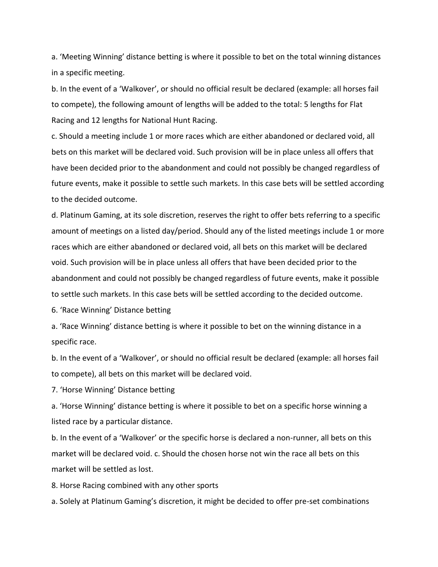a. 'Meeting Winning' distance betting is where it possible to bet on the total winning distances in a specific meeting.

b. In the event of a 'Walkover', or should no official result be declared (example: all horses fail to compete), the following amount of lengths will be added to the total: 5 lengths for Flat Racing and 12 lengths for National Hunt Racing.

c. Should a meeting include 1 or more races which are either abandoned or declared void, all bets on this market will be declared void. Such provision will be in place unless all offers that have been decided prior to the abandonment and could not possibly be changed regardless of future events, make it possible to settle such markets. In this case bets will be settled according to the decided outcome.

d. Platinum Gaming, at its sole discretion, reserves the right to offer bets referring to a specific amount of meetings on a listed day/period. Should any of the listed meetings include 1 or more races which are either abandoned or declared void, all bets on this market will be declared void. Such provision will be in place unless all offers that have been decided prior to the abandonment and could not possibly be changed regardless of future events, make it possible to settle such markets. In this case bets will be settled according to the decided outcome.

6. 'Race Winning' Distance betting

a. 'Race Winning' distance betting is where it possible to bet on the winning distance in a specific race.

b. In the event of a 'Walkover', or should no official result be declared (example: all horses fail to compete), all bets on this market will be declared void.

7. 'Horse Winning' Distance betting

a. 'Horse Winning' distance betting is where it possible to bet on a specific horse winning a listed race by a particular distance.

b. In the event of a 'Walkover' or the specific horse is declared a non-runner, all bets on this market will be declared void. c. Should the chosen horse not win the race all bets on this market will be settled as lost.

8. Horse Racing combined with any other sports

a. Solely at Platinum Gaming's discretion, it might be decided to offer pre-set combinations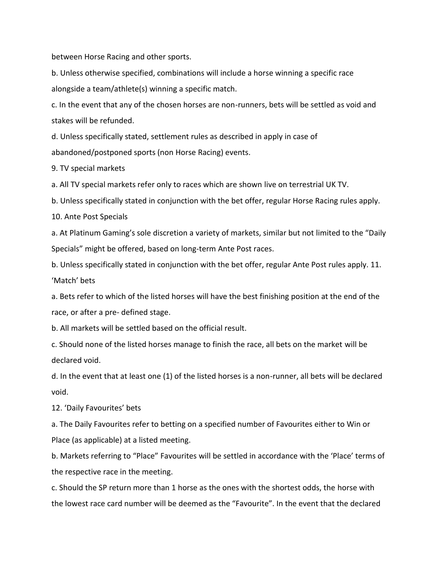between Horse Racing and other sports.

b. Unless otherwise specified, combinations will include a horse winning a specific race alongside a team/athlete(s) winning a specific match.

c. In the event that any of the chosen horses are non-runners, bets will be settled as void and stakes will be refunded.

d. Unless specifically stated, settlement rules as described in apply in case of abandoned/postponed sports (non Horse Racing) events.

9. TV special markets

a. All TV special markets refer only to races which are shown live on terrestrial UK TV.

b. Unless specifically stated in conjunction with the bet offer, regular Horse Racing rules apply.

10. Ante Post Specials

a. At Platinum Gaming's sole discretion a variety of markets, similar but not limited to the "Daily Specials" might be offered, based on long-term Ante Post races.

b. Unless specifically stated in conjunction with the bet offer, regular Ante Post rules apply. 11. 'Match' bets

a. Bets refer to which of the listed horses will have the best finishing position at the end of the race, or after a pre- defined stage.

b. All markets will be settled based on the official result.

c. Should none of the listed horses manage to finish the race, all bets on the market will be declared void.

d. In the event that at least one (1) of the listed horses is a non-runner, all bets will be declared void.

12. 'Daily Favourites' bets

a. The Daily Favourites refer to betting on a specified number of Favourites either to Win or Place (as applicable) at a listed meeting.

b. Markets referring to "Place" Favourites will be settled in accordance with the 'Place' terms of the respective race in the meeting.

c. Should the SP return more than 1 horse as the ones with the shortest odds, the horse with the lowest race card number will be deemed as the "Favourite". In the event that the declared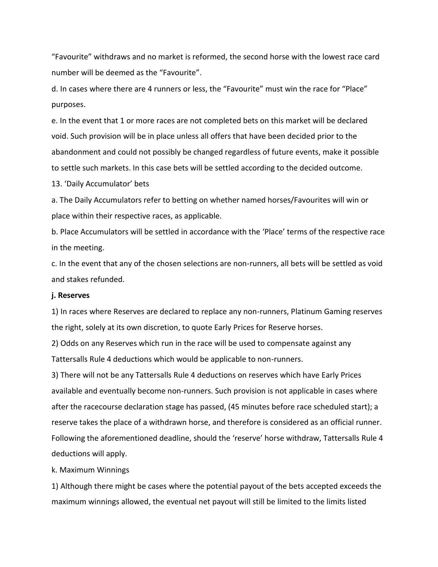"Favourite" withdraws and no market is reformed, the second horse with the lowest race card number will be deemed as the "Favourite".

d. In cases where there are 4 runners or less, the "Favourite" must win the race for "Place" purposes.

e. In the event that 1 or more races are not completed bets on this market will be declared void. Such provision will be in place unless all offers that have been decided prior to the abandonment and could not possibly be changed regardless of future events, make it possible to settle such markets. In this case bets will be settled according to the decided outcome.

13. 'Daily Accumulator' bets

a. The Daily Accumulators refer to betting on whether named horses/Favourites will win or place within their respective races, as applicable.

b. Place Accumulators will be settled in accordance with the 'Place' terms of the respective race in the meeting.

c. In the event that any of the chosen selections are non-runners, all bets will be settled as void and stakes refunded.

#### **j. Reserves**

1) In races where Reserves are declared to replace any non-runners, Platinum Gaming reserves the right, solely at its own discretion, to quote Early Prices for Reserve horses.

2) Odds on any Reserves which run in the race will be used to compensate against any Tattersalls Rule 4 deductions which would be applicable to non-runners.

3) There will not be any Tattersalls Rule 4 deductions on reserves which have Early Prices available and eventually become non-runners. Such provision is not applicable in cases where after the racecourse declaration stage has passed, (45 minutes before race scheduled start); a reserve takes the place of a withdrawn horse, and therefore is considered as an official runner. Following the aforementioned deadline, should the 'reserve' horse withdraw, Tattersalls Rule 4 deductions will apply.

#### k. Maximum Winnings

1) Although there might be cases where the potential payout of the bets accepted exceeds the maximum winnings allowed, the eventual net payout will still be limited to the limits listed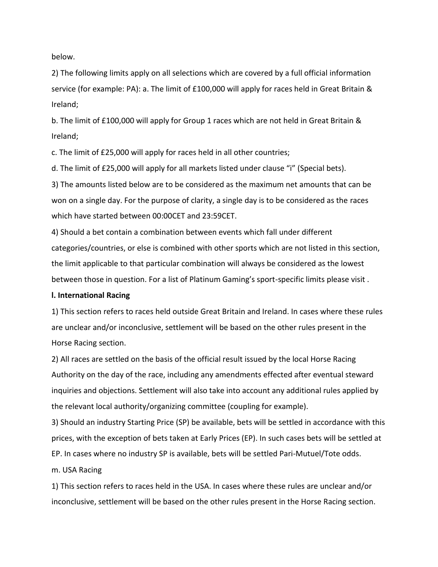below.

2) The following limits apply on all selections which are covered by a full official information service (for example: PA): a. The limit of £100,000 will apply for races held in Great Britain & Ireland;

b. The limit of £100,000 will apply for Group 1 races which are not held in Great Britain & Ireland;

c. The limit of £25,000 will apply for races held in all other countries;

d. The limit of £25,000 will apply for all markets listed under clause "i" (Special bets).

3) The amounts listed below are to be considered as the maximum net amounts that can be won on a single day. For the purpose of clarity, a single day is to be considered as the races which have started between 00:00CET and 23:59CET.

4) Should a bet contain a combination between events which fall under different categories/countries, or else is combined with other sports which are not listed in this section, the limit applicable to that particular combination will always be considered as the lowest between those in question. For a list of Platinum Gaming's sport-specific limits please visit .

#### **l. International Racing**

1) This section refers to races held outside Great Britain and Ireland. In cases where these rules are unclear and/or inconclusive, settlement will be based on the other rules present in the Horse Racing section.

2) All races are settled on the basis of the official result issued by the local Horse Racing Authority on the day of the race, including any amendments effected after eventual steward inquiries and objections. Settlement will also take into account any additional rules applied by the relevant local authority/organizing committee (coupling for example).

3) Should an industry Starting Price (SP) be available, bets will be settled in accordance with this prices, with the exception of bets taken at Early Prices (EP). In such cases bets will be settled at EP. In cases where no industry SP is available, bets will be settled Pari-Mutuel/Tote odds.

m. USA Racing

1) This section refers to races held in the USA. In cases where these rules are unclear and/or inconclusive, settlement will be based on the other rules present in the Horse Racing section.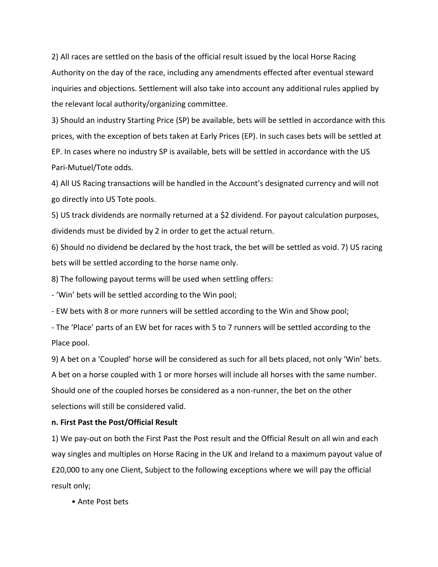2) All races are settled on the basis of the official result issued by the local Horse Racing Authority on the day of the race, including any amendments effected after eventual steward inquiries and objections. Settlement will also take into account any additional rules applied by the relevant local authority/organizing committee.

3) Should an industry Starting Price (SP) be available, bets will be settled in accordance with this prices, with the exception of bets taken at Early Prices (EP). In such cases bets will be settled at EP. In cases where no industry SP is available, bets will be settled in accordance with the US Pari-Mutuel/Tote odds.

4) All US Racing transactions will be handled in the Account's designated currency and will not go directly into US Tote pools.

5) US track dividends are normally returned at a \$2 dividend. For payout calculation purposes, dividends must be divided by 2 in order to get the actual return.

6) Should no dividend be declared by the host track, the bet will be settled as void. 7) US racing bets will be settled according to the horse name only.

8) The following payout terms will be used when settling offers:

- 'Win' bets will be settled according to the Win pool;

- EW bets with 8 or more runners will be settled according to the Win and Show pool;

- The 'Place' parts of an EW bet for races with 5 to 7 runners will be settled according to the Place pool.

9) A bet on a 'Coupled' horse will be considered as such for all bets placed, not only 'Win' bets. A bet on a horse coupled with 1 or more horses will include all horses with the same number. Should one of the coupled horses be considered as a non-runner, the bet on the other selections will still be considered valid.

#### **n. First Past the Post/Official Result**

1) We pay-out on both the First Past the Post result and the Official Result on all win and each way singles and multiples on Horse Racing in the UK and Ireland to a maximum payout value of £20,000 to any one Client, Subject to the following exceptions where we will pay the official result only;

• Ante Post bets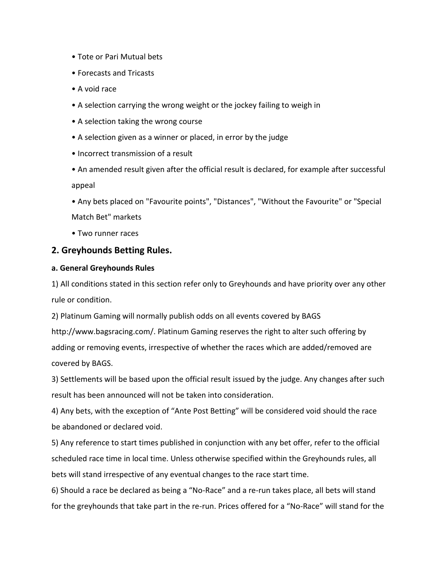- Tote or Pari Mutual bets
- Forecasts and Tricasts
- A void race
- A selection carrying the wrong weight or the jockey failing to weigh in
- A selection taking the wrong course
- A selection given as a winner or placed, in error by the judge
- Incorrect transmission of a result
- An amended result given after the official result is declared, for example after successful appeal
- Any bets placed on "Favourite points", "Distances", "Without the Favourite" or "Special Match Bet" markets
- Two runner races

# **2. Greyhounds Betting Rules.**

## **a. General Greyhounds Rules**

1) All conditions stated in this section refer only to Greyhounds and have priority over any other rule or condition.

2) Platinum Gaming will normally publish odds on all events covered by BAGS http://www.bagsracing.com/. Platinum Gaming reserves the right to alter such offering by adding or removing events, irrespective of whether the races which are added/removed are covered by BAGS.

3) Settlements will be based upon the official result issued by the judge. Any changes after such result has been announced will not be taken into consideration.

4) Any bets, with the exception of "Ante Post Betting" will be considered void should the race be abandoned or declared void.

5) Any reference to start times published in conjunction with any bet offer, refer to the official scheduled race time in local time. Unless otherwise specified within the Greyhounds rules, all bets will stand irrespective of any eventual changes to the race start time.

6) Should a race be declared as being a "No-Race" and a re-run takes place, all bets will stand for the greyhounds that take part in the re-run. Prices offered for a "No-Race" will stand for the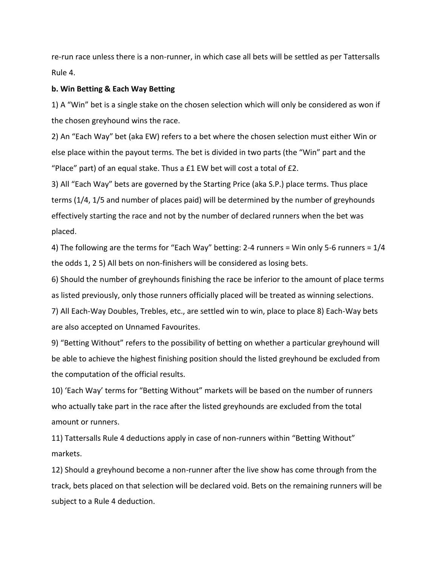re-run race unless there is a non-runner, in which case all bets will be settled as per Tattersalls Rule 4.

#### **b. Win Betting & Each Way Betting**

1) A "Win" bet is a single stake on the chosen selection which will only be considered as won if the chosen greyhound wins the race.

2) An "Each Way" bet (aka EW) refers to a bet where the chosen selection must either Win or else place within the payout terms. The bet is divided in two parts (the "Win" part and the "Place" part) of an equal stake. Thus a £1 EW bet will cost a total of £2.

3) All "Each Way" bets are governed by the Starting Price (aka S.P.) place terms. Thus place terms (1/4, 1/5 and number of places paid) will be determined by the number of greyhounds effectively starting the race and not by the number of declared runners when the bet was placed.

4) The following are the terms for "Each Way" betting: 2-4 runners = Win only 5-6 runners = 1/4 the odds 1, 2 5) All bets on non-finishers will be considered as losing bets.

6) Should the number of greyhounds finishing the race be inferior to the amount of place terms as listed previously, only those runners officially placed will be treated as winning selections.

7) All Each-Way Doubles, Trebles, etc., are settled win to win, place to place 8) Each-Way bets are also accepted on Unnamed Favourites.

9) "Betting Without" refers to the possibility of betting on whether a particular greyhound will be able to achieve the highest finishing position should the listed greyhound be excluded from the computation of the official results.

10) 'Each Way' terms for "Betting Without" markets will be based on the number of runners who actually take part in the race after the listed greyhounds are excluded from the total amount or runners.

11) Tattersalls Rule 4 deductions apply in case of non-runners within "Betting Without" markets.

12) Should a greyhound become a non-runner after the live show has come through from the track, bets placed on that selection will be declared void. Bets on the remaining runners will be subject to a Rule 4 deduction.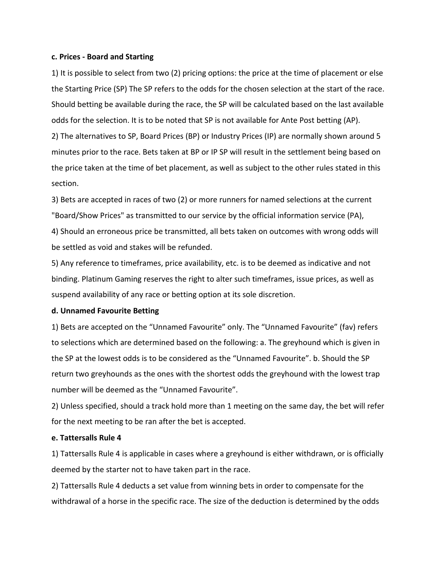#### **c. Prices - Board and Starting**

1) It is possible to select from two (2) pricing options: the price at the time of placement or else the Starting Price (SP) The SP refers to the odds for the chosen selection at the start of the race. Should betting be available during the race, the SP will be calculated based on the last available odds for the selection. It is to be noted that SP is not available for Ante Post betting (AP).

2) The alternatives to SP, Board Prices (BP) or Industry Prices (IP) are normally shown around 5 minutes prior to the race. Bets taken at BP or IP SP will result in the settlement being based on the price taken at the time of bet placement, as well as subject to the other rules stated in this section.

3) Bets are accepted in races of two (2) or more runners for named selections at the current "Board/Show Prices" as transmitted to our service by the official information service (PA), 4) Should an erroneous price be transmitted, all bets taken on outcomes with wrong odds will be settled as void and stakes will be refunded.

5) Any reference to timeframes, price availability, etc. is to be deemed as indicative and not binding. Platinum Gaming reserves the right to alter such timeframes, issue prices, as well as suspend availability of any race or betting option at its sole discretion.

### **d. Unnamed Favourite Betting**

1) Bets are accepted on the "Unnamed Favourite" only. The "Unnamed Favourite" (fav) refers to selections which are determined based on the following: a. The greyhound which is given in the SP at the lowest odds is to be considered as the "Unnamed Favourite". b. Should the SP return two greyhounds as the ones with the shortest odds the greyhound with the lowest trap number will be deemed as the "Unnamed Favourite".

2) Unless specified, should a track hold more than 1 meeting on the same day, the bet will refer for the next meeting to be ran after the bet is accepted.

#### **e. Tattersalls Rule 4**

1) Tattersalls Rule 4 is applicable in cases where a greyhound is either withdrawn, or is officially deemed by the starter not to have taken part in the race.

2) Tattersalls Rule 4 deducts a set value from winning bets in order to compensate for the withdrawal of a horse in the specific race. The size of the deduction is determined by the odds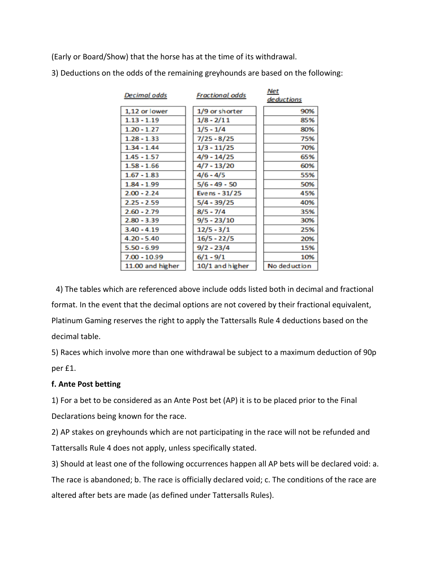(Early or Board/Show) that the horse has at the time of its withdrawal.

| Decimal odds     | <b>Fractional odds</b> | $r$ v $c$ c<br>deductions |
|------------------|------------------------|---------------------------|
| 1,12 or lower    | 1/9 or shorter         | 90%                       |
| $1.13 - 1.19$    | $1/8 - 2/11$           | 85%                       |
| $1.20 - 1.27$    | $1/5 - 1/4$            | 80%                       |
| $1.28 - 1.33$    | $7/25 - 8/25$          | 75%                       |
| $1.34 - 1.44$    | $1/3 - 11/25$          | 70%                       |
| $1.45 - 1.57$    | 4/9 - 14/25            | 65%                       |
| $1.58 - 1.66$    | 4/7 - 13/20            | 60%                       |
| $1.67 - 1.83$    | $4/6 - 4/5$            | 55%                       |
| $1.84 - 1.99$    | $5/6 - 49 - 50$        | 50%                       |
| $2.00 - 2.24$    | Evens - 31/25          | 45%                       |
| $2.25 - 2.59$    | $5/4 - 39/25$          | 40%                       |
| $2.60 - 2.79$    | $8/5 - 7/4$            | 35%                       |
| $2.80 - 3.39$    | $9/5 - 23/10$          | 30%                       |
| $3.40 - 4.19$    | $12/5 - 3/1$           | 25%                       |
| $4.20 - 5.40$    | $16/5 - 22/5$          | 20%                       |
| $5.50 - 6.99$    | $9/2 - 23/4$           | 15%                       |
| 7.00 - 10.99     | $6/1 - 9/1$            | 10%                       |
| 11.00 and higher | 10/1 and higher        | No deduction              |

 $A$ 

3) Deductions on the odds of the remaining greyhounds are based on the following:

4) The tables which are referenced above include odds listed both in decimal and fractional format. In the event that the decimal options are not covered by their fractional equivalent, Platinum Gaming reserves the right to apply the Tattersalls Rule 4 deductions based on the decimal table.

5) Races which involve more than one withdrawal be subject to a maximum deduction of 90p per £1.

# **f. Ante Post betting**

1) For a bet to be considered as an Ante Post bet (AP) it is to be placed prior to the Final Declarations being known for the race.

2) AP stakes on greyhounds which are not participating in the race will not be refunded and Tattersalls Rule 4 does not apply, unless specifically stated.

3) Should at least one of the following occurrences happen all AP bets will be declared void: a. The race is abandoned; b. The race is officially declared void; c. The conditions of the race are altered after bets are made (as defined under Tattersalls Rules).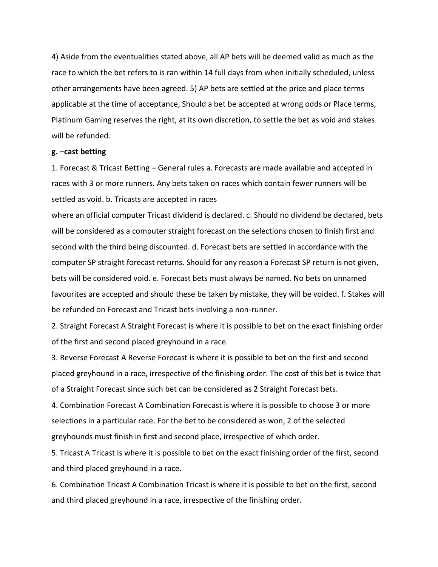4) Aside from the eventualities stated above, all AP bets will be deemed valid as much as the race to which the bet refers to is ran within 14 full days from when initially scheduled, unless other arrangements have been agreed. 5) AP bets are settled at the price and place terms applicable at the time of acceptance, Should a bet be accepted at wrong odds or Place terms, Platinum Gaming reserves the right, at its own discretion, to settle the bet as void and stakes will be refunded.

#### **g. –cast betting**

1. Forecast & Tricast Betting – General rules a. Forecasts are made available and accepted in races with 3 or more runners. Any bets taken on races which contain fewer runners will be settled as void. b. Tricasts are accepted in races

where an official computer Tricast dividend is declared. c. Should no dividend be declared, bets will be considered as a computer straight forecast on the selections chosen to finish first and second with the third being discounted. d. Forecast bets are settled in accordance with the computer SP straight forecast returns. Should for any reason a Forecast SP return is not given, bets will be considered void. e. Forecast bets must always be named. No bets on unnamed favourites are accepted and should these be taken by mistake, they will be voided. f. Stakes will be refunded on Forecast and Tricast bets involving a non-runner.

2. Straight Forecast A Straight Forecast is where it is possible to bet on the exact finishing order of the first and second placed greyhound in a race.

3. Reverse Forecast A Reverse Forecast is where it is possible to bet on the first and second placed greyhound in a race, irrespective of the finishing order. The cost of this bet is twice that of a Straight Forecast since such bet can be considered as 2 Straight Forecast bets.

4. Combination Forecast A Combination Forecast is where it is possible to choose 3 or more selections in a particular race. For the bet to be considered as won, 2 of the selected greyhounds must finish in first and second place, irrespective of which order.

5. Tricast A Tricast is where it is possible to bet on the exact finishing order of the first, second and third placed greyhound in a race.

6. Combination Tricast A Combination Tricast is where it is possible to bet on the first, second and third placed greyhound in a race, irrespective of the finishing order.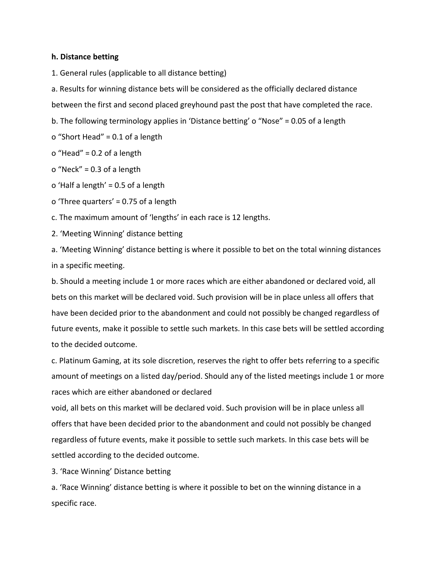### **h. Distance betting**

1. General rules (applicable to all distance betting)

a. Results for winning distance bets will be considered as the officially declared distance

between the first and second placed greyhound past the post that have completed the race.

b. The following terminology applies in 'Distance betting' o "Nose" = 0.05 of a length

o "Short Head" = 0.1 of a length

o "Head" = 0.2 of a length

o "Neck" = 0.3 of a length

o 'Half a length' = 0.5 of a length

o 'Three quarters' = 0.75 of a length

c. The maximum amount of 'lengths' in each race is 12 lengths.

2. 'Meeting Winning' distance betting

a. 'Meeting Winning' distance betting is where it possible to bet on the total winning distances in a specific meeting.

b. Should a meeting include 1 or more races which are either abandoned or declared void, all bets on this market will be declared void. Such provision will be in place unless all offers that have been decided prior to the abandonment and could not possibly be changed regardless of future events, make it possible to settle such markets. In this case bets will be settled according to the decided outcome.

c. Platinum Gaming, at its sole discretion, reserves the right to offer bets referring to a specific amount of meetings on a listed day/period. Should any of the listed meetings include 1 or more races which are either abandoned or declared

void, all bets on this market will be declared void. Such provision will be in place unless all offers that have been decided prior to the abandonment and could not possibly be changed regardless of future events, make it possible to settle such markets. In this case bets will be settled according to the decided outcome.

3. 'Race Winning' Distance betting

a. 'Race Winning' distance betting is where it possible to bet on the winning distance in a specific race.